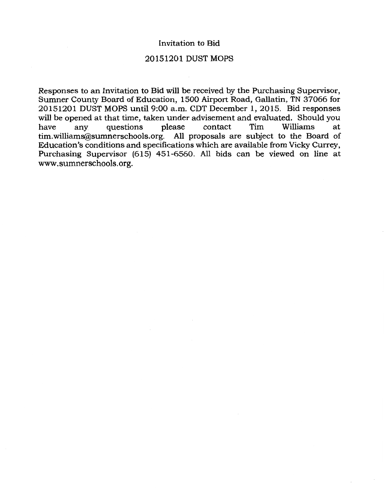## Invitation to Bid

# 20151201 DUST MOPS

Responses to an Invitation to Bid will be received by the Purchasing Supervisor, Sumner County Board of Education, 1500 Airport Road, Gallatin, TN 37066 for 20151201 DUST MOPS until 9:00a.m. CDT December 1, 2015. Bid responses will be opened at that time, taken under advisement and evaluated. Should you<br>have any questions please contact Tim Williams at have any questions please contact Tim Williams at tim. williams@sumnerschools.org. All proposals are subject to the Board of Education's conditions and specifications which are available from Vicky Currey, Purchasing Supervisor (615) 451-6560. All bids can be viewed on line at www.sumnerschools.org.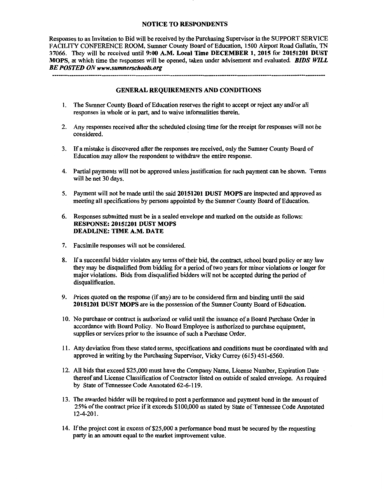### NOTICE TO RESPONDENTS

Responses to an Invitation to Bid will be received by the Purchasing Supervisor in the SUPPORT SERVICE FACILITY CONFERENCE ROOM, Sumner County Board of Education, 1500 Airport Road Gallatin, TN 37066. They will be received until 9:00 A.M. Local Time DECEMBER 1, 2015 for 20151201 DUST MOPS, at which time the responses will be opened, taken under advisement and evaluated. *BIDS WILL BE POSTED ON www.sumnerschools.org* 

### GENERAL REQUIREMENTS AND CONDITIONS

- 1. The Sumner County Board of Education reserves the right to accept or reject any and/or all responses in whole or in part, and to waive informalities therein.
- 2. Any responses received after the scheduled closing time for the receipt for responses will not be considered.
- 3. If a mistake is discovered after the responses are received, only the Sumner County Board of Education may allow the respondent to withdraw the entire response.
- 4. Partial payments will not be approved unless justification for such payment can be shown. Terms will be net 30 days.
- 5. Payment will not be made until the said 20151201 DUST MOPS are inspected and approved as meeting all specifications by persons appointed by the Sumner County Board of Education.
- 6. Responses submitted must be in a sealed envelope and marked on the outside as follows: RESPONSE: 20151201 DUST MOPS DEADLINE: TIME A.M. DATE
- 7. Facsimile responses will not be considered.
- 8. If a successful bidder violates any terms of their bid, the contract, school board policy or any law they may be disqualified from bidding for a period of two years for minor violations or longer for major violations. Bids from disqualified bidders will not be accepted during the period of disqualification.
- 9. Prices quoted on the response (if any) are to be considered firm and binding until the said 20151201 DUST MOPS are in the possession of the Sumner County Board of Education.
- 10. No purchase or contract is authorized or valid until the issuance of a Board Purchase Order in accordance with Board Policy. No Board Employee is authorized to purchase equipment, supplies or services prior to the issuance of such a Purchase Order.
- 11. Any deviation from these stated terms, specifications and conditions must be coordinated with and approved in writing by the Purchasing Supervisor, Vicky Currey (615) 451-6560. ·
- 12. All bids that exceed \$25,000 must have the Company Name, License Number, Expiration Date thereof and License Classification of Contractor listed on outside of sealed envelope. As required by State of Tennessee Code Annotated 62-6-119.
- 13. The awarded bidder will be required to post a performance and payment bond in the amount of 25% of the contract price if it exceeds \$100,000 as stated by State of Tennessee Code Annotated 12-4-201.
- 14. If the project cost in excess of\$25,000 a performance bond must be secured by the requesting party in an amount equal to the market improvement value.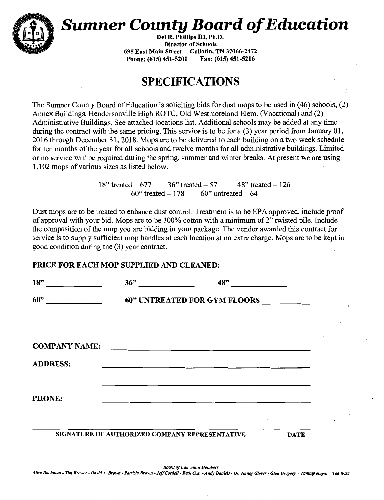

# **Sumner County Board of Education**

Del R. Phillips III, Ph.D. Director of Schools 695 East Main Street Gallatin, TN 37066-2472 Phone: (615) 451-5200

# **SPECIFICATIONS**

The Sumner County Board of Education is soliciting bids for dust mops to be used in (46) schools, (2) Annex Buildings, Hendersonville High ROTC, Old Westmoreland Elem. (Vocational) and (2) Administrative Buildings. See attached locations list. Additional schools may be added at any time during the contract with the same pricing. This service is to be for a (3) year period from January 01, 2016 through December 31,2018. Mops are to be delivered to each building on a two week schedule for ten months of the year for all schools and twelve months for all administrative buildings. Limited or no service will be required during the spring, summer and winter breaks. At present we are using 1,102 mops of various sizes as listed below.

> 18" treated  $- 677$  36" treated  $- 57$  48" treated  $- 126$  $60"$  treated  $-178$  60" untreated  $-64$

Dust mops are to be treated to enhance dust control. Treatment is to be EPA approved, include proof of approval with your bid. Mops are to be 100% cotton with a minimum of2" twisted pile. Include the composition of the mop you are bidding in your package. The vendor awarded this contract for service is to supply sufficient mop handles at each location at no extra charge. Mops are to be kept in good condition during the (3) year contract.

# PRICE FOR EACH MOP SUPPLIED AND CLEANED:

| 18"                  | 36"                                 | 48"                                            |             |  |  |
|----------------------|-------------------------------------|------------------------------------------------|-------------|--|--|
| 60"                  | <b>60" UNTREATED FOR GYM FLOORS</b> |                                                |             |  |  |
| <b>COMPANY NAME:</b> |                                     |                                                |             |  |  |
| <b>ADDRESS:</b>      |                                     |                                                |             |  |  |
| <b>PHONE:</b>        |                                     |                                                |             |  |  |
|                      |                                     | SIGNATURE OF AUTHORIZED COMPANY REPRESENTATIVE | <b>DATE</b> |  |  |

*Board of Education Members Alice Bachman* - *Tim Brewer- David A. Brown -Patricia Brown -Jeff Cordell- Beth Cox -Andy Daniels- Dr. Nancy Glover- Glen Gregory* - *Tammy Hayes* - *Ted W"ISe*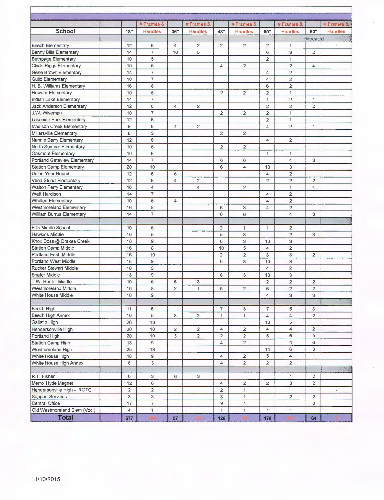|                                |                | #Frames &                 |                | #Frames &      |                | #Frames &      |                | #Frames &                |                | # Frames &       |
|--------------------------------|----------------|---------------------------|----------------|----------------|----------------|----------------|----------------|--------------------------|----------------|------------------|
| School                         | 18"            | <b>Handles</b>            | 36"            | <b>Handles</b> | 48"            | <b>Handles</b> | 60"            | <b>Handles</b>           | 60"            | <b>Handles</b>   |
|                                |                |                           |                |                |                |                |                | Untreated                |                |                  |
| <b>Beech Elementary</b>        | 12             | 6                         | 4              | $\overline{2}$ | 2              | $\overline{a}$ | $\overline{2}$ | $\mathbf{1}$             |                |                  |
| <b>Benny Bills Elementary</b>  | 14             | $\overline{7}$            | 10             | 5              |                |                | 6              | 3                        | $\overline{2}$ |                  |
| <b>Bethpage Elementary</b>     | 10             | 5                         |                |                |                |                | $\overline{2}$ | $\mathbf{1}$             |                |                  |
| Clyde Riggs Elementary         | 10             | 5                         |                |                | 4              | $\overline{2}$ |                | $\overline{c}$           | $\overline{4}$ |                  |
| Gene Brown Elementary          | 14             | $\overline{7}$            |                |                |                |                | 4              | $\overline{2}$           |                |                  |
| <b>Guild Elementary</b>        | 10             | $\overline{7}$            |                |                |                |                | 4              | $\overline{2}$           |                |                  |
| H. B. Williams Elementary      | 16             | 8                         |                |                |                |                | 6              | $\overline{2}$           |                |                  |
| <b>Howard Elementary</b>       | 10             | 5                         |                |                | $\overline{2}$ | $\overline{2}$ | $\overline{2}$ | 1                        |                |                  |
| Indian Lake Elementary         | 14             | $\overline{7}$            |                |                |                |                | $\overline{1}$ | $\overline{2}$           | 1              |                  |
| Jack Anderson Elementary       | 12             | $6\phantom{a}$            | $\overline{4}$ | $\overline{2}$ |                |                | $\overline{2}$ | $\overline{2}$           | $\overline{2}$ |                  |
| J.W. Wiseman                   | 10             | $\overline{7}$            |                |                | $\overline{2}$ | $\overline{2}$ | $\overline{2}$ | $\mathbf{1}$             |                |                  |
| Lakeside Park Elementary       | 12             | 6                         |                |                |                |                | $\overline{2}$ | 1                        |                |                  |
| Madison Creek Elementary       | 8              | 6                         | $\overline{4}$ | $\overline{2}$ |                |                | 4              | $\overline{2}$           | 1              |                  |
| Millersville Elementary        | 6              | 3                         |                |                | $\overline{2}$ | $\overline{2}$ |                |                          |                |                  |
| Nannie Berry Elementary        | 12             | 6                         |                |                |                |                | 4              | $\overline{2}$           |                |                  |
| North Sumner Elementary        | 10             | $\overline{5}$            |                |                | $\overline{2}$ | $\overline{2}$ |                |                          |                |                  |
| Oakmont Elementary             | 10             | 6                         |                |                |                |                | 1              | 1                        |                |                  |
| Portland Gateview Elementary   | 14             | $\overline{7}$            |                |                | 6              | 6              |                | $\overline{\mathbf{4}}$  | 3              |                  |
| <b>Station Camp Elementary</b> | 20             | 10                        |                |                | 6              | 4              | 10             | 3                        |                |                  |
| Union Year Round               | 12             | 6                         | 5              |                |                |                | 4              | $\overline{2}$           |                |                  |
| Vena Stuart Elementary         | 12             | 6                         | $\overline{4}$ | $\overline{c}$ |                |                | $\overline{2}$ | $\overline{2}$           | $\overline{2}$ |                  |
| <b>Walton Ferry Elementary</b> | 10             | $\overline{4}$            |                | 4              |                | $\overline{2}$ |                | $\mathbf{1}$             | 4              |                  |
| Watt Hardison                  | 14             | $\overline{7}$            |                |                |                |                | 4              | $\overline{2}$           |                |                  |
| <b>Whitten Elementary</b>      | 10             | 5                         | $\overline{4}$ |                |                |                | 4              | $\overline{2}$           |                |                  |
| Westmoreland Elementary        | 16             | 8                         |                |                | 6              | 3              | 4              | $\overline{2}$           |                |                  |
| William Burrus Elementary      | 14             | $\overline{7}$            |                |                | 6              | 6              |                | 4                        | 3              |                  |
|                                |                |                           |                |                |                |                |                |                          |                |                  |
| Ellis Middle School            | 10             | 5                         |                |                | $\overline{2}$ | $\mathbf{1}$   | 1              | $\overline{2}$           |                |                  |
| <b>Hawkins Middle</b>          | 10             | 5                         |                |                | 5              | 3              |                | $\overline{2}$           | 3              |                  |
| Knox Doss @ Drakes Creek       | 18             | 9                         |                |                | 6              | 3              | 10             | 3                        |                |                  |
| <b>Station Camp Middle</b>     | 16             | 8                         |                |                | 10             | 5              | 4              | $\overline{2}$           |                |                  |
| Portland East Middle           | 16             | 10                        |                |                | $\overline{2}$ | $\overline{2}$ | 3              | 3                        | $\overline{2}$ |                  |
| <b>Portland West Middle</b>    | 18             | $\overline{9}$            |                |                | 6              | 3              | 10             | 3                        |                |                  |
| <b>Rucker Stewart Middle</b>   | 10             | 5                         |                |                |                |                | 4              | $\overline{2}$           |                |                  |
| <b>Shafer Middle</b>           | 18             | $\mathsf g$               |                |                | 6              | 3              | 10             | 3                        |                |                  |
| T.W. Hunter Middle             | 10             | 5                         | 6              | 3              |                |                | $\overline{2}$ | $\overline{2}$           | $\overline{2}$ |                  |
| <b>Westmoreland Middle</b>     | 16             | 8                         | $\overline{2}$ | $\overline{1}$ | 6              | $\overline{2}$ | 6              | $\overline{2}$           | $\overline{2}$ |                  |
| White House Middle             | 18             | 9                         |                |                |                |                | 4              | 3                        | 3              |                  |
|                                |                |                           |                |                |                |                |                |                          |                |                  |
| Beech High                     | 11             | 6                         |                |                | $\overline{7}$ | 3              | $\overline{7}$ | 5                        | 3              |                  |
| Beech High Annex               | 10             | $\sqrt{5}$                | 3              | $\overline{2}$ | 1              | $\mathbf{1}$   | 4              | $\overline{\mathcal{A}}$ | $\overline{2}$ |                  |
| Gallatin High                  | 26             | 13                        |                |                |                |                | 10             | 5                        |                |                  |
| Hendersonville High            | 20             | 10                        | $\overline{2}$ | $\overline{c}$ | 4              | $\overline{2}$ | 4              | $\overline{4}$           | $\overline{2}$ |                  |
| Portland High                  | 20             | 10                        | $\overline{3}$ | $\overline{2}$ | $\overline{2}$ | $\overline{2}$ | 5              | 6                        | 5              |                  |
| Station Camp High              | 18             | $\overline{9}$            |                |                | 4              | $\overline{2}$ |                | $\overline{4}$           | 6              |                  |
| Westmoreland High              | 25             | 13                        |                |                |                |                | 14             | 6                        | 3              |                  |
| White House High               | 18             | 9                         |                |                | 4              | $\overline{2}$ | 5              | 4                        | $\mathbf{1}$   |                  |
| White House High Annex         | 8              | $\ensuremath{\mathsf{3}}$ |                |                | 4              | $\overline{2}$ | $\overline{2}$ | $\overline{2}$           |                |                  |
|                                |                |                           |                |                |                |                |                |                          |                |                  |
| R.T. Fisher                    | 6              | 3                         | 6              | 3              |                |                |                | 1                        | $\overline{2}$ |                  |
| Merrol Hyde Magnet             | 12             | 6                         |                |                | 4              | $\overline{2}$ | $\overline{2}$ | 3                        | $\overline{2}$ |                  |
| Hendersonville High - ROTC     | $\overline{2}$ | $\overline{2}$            |                |                | $\overline{2}$ | 1              |                |                          |                | $\mathfrak{a}^-$ |
| <b>Support Services</b>        | 8              | 3                         |                |                | 3              | $\mathbf{1}$   |                | $\overline{2}$           | $\overline{2}$ |                  |
| Central Office                 | 17             | $\overline{7}$            |                |                | 9              | $\overline{4}$ |                |                          | $\overline{2}$ |                  |
| Old Westmoreland Elem (Voc.)   | 4              | $\mathbf{1}$              |                |                | $\mathbf{1}$   | 1              | $\mathbf{1}$   | $\mathbf{1}$             |                |                  |
| <b>Total</b>                   | 677            |                           | 57             |                | 126            |                | 178            |                          | 64             |                  |